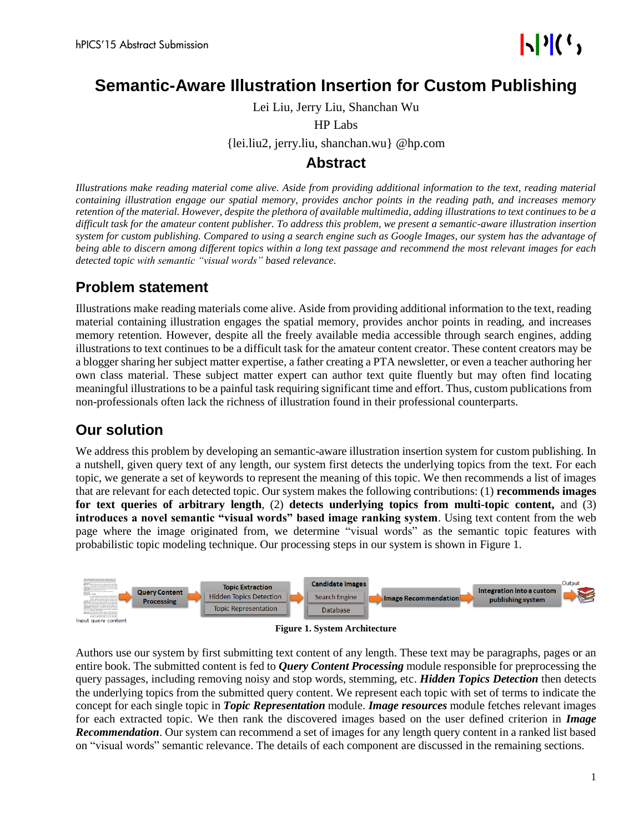## **Semantic-Aware Illustration Insertion for Custom Publishing**

Lei Liu, Jerry Liu, Shanchan Wu

HP Labs

{lei.liu2, jerry.liu, shanchan.wu} @hp.com

### **Abstract**

*Illustrations make reading material come alive. Aside from providing additional information to the text, reading material containing illustration engage our spatial memory, provides anchor points in the reading path, and increases memory retention of the material. However, despite the plethora of available multimedia, adding illustrations to text continues to be a difficult task for the amateur content publisher. To address this problem, we present a semantic-aware illustration insertion system for custom publishing. Compared to using a search engine such as Google Images, our system has the advantage of being able to discern among different topics within a long text passage and recommend the most relevant images for each detected topic with semantic "visual words" based relevance.*

## **Problem statement**

Illustrations make reading materials come alive. Aside from providing additional information to the text, reading material containing illustration engages the spatial memory, provides anchor points in reading, and increases memory retention. However, despite all the freely available media accessible through search engines, adding illustrations to text continues to be a difficult task for the amateur content creator. These content creators may be a blogger sharing her subject matter expertise, a father creating a PTA newsletter, or even a teacher authoring her own class material. These subject matter expert can author text quite fluently but may often find locating meaningful illustrations to be a painful task requiring significant time and effort. Thus, custom publications from non-professionals often lack the richness of illustration found in their professional counterparts.

## **Our solution**

We address this problem by developing an semantic-aware illustration insertion system for custom publishing. In a nutshell, given query text of any length, our system first detects the underlying topics from the text. For each topic, we generate a set of keywords to represent the meaning of this topic. We then recommends a list of images that are relevant for each detected topic. Our system makes the following contributions: (1) **recommends images for text queries of arbitrary length**, (2) **detects underlying topics from multi-topic content,** and (3) **introduces a novel semantic "visual words" based image ranking system**. Using text content from the web page where the image originated from, we determine "visual words" as the semantic topic features with probabilistic topic modeling technique. Our processing steps in our system is shown in Figure 1.





Authors use our system by first submitting text content of any length. These text may be paragraphs, pages or an entire book. The submitted content is fed to *Query Content Processing* module responsible for preprocessing the query passages, including removing noisy and stop words, stemming, etc. *Hidden Topics Detection* then detects the underlying topics from the submitted query content. We represent each topic with set of terms to indicate the concept for each single topic in *Topic Representation* module. *Image resources* module fetches relevant images for each extracted topic. We then rank the discovered images based on the user defined criterion in *Image Recommendation*. Our system can recommend a set of images for any length query content in a ranked list based on "visual words" semantic relevance. The details of each component are discussed in the remaining sections.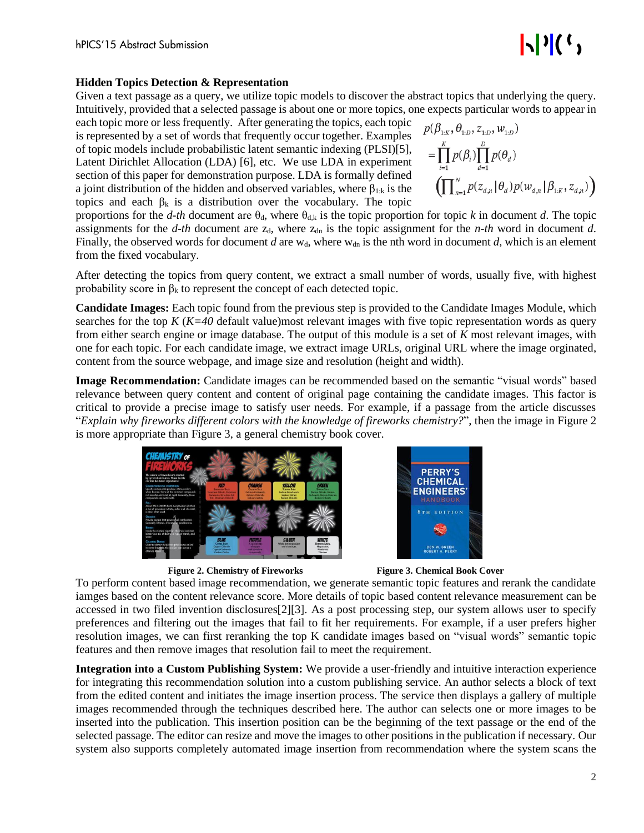# $\mathbf{E}[\mathbf{v}](\mathbf{v})$

#### **Hidden Topics Detection & Representation**

Given a text passage as a query, we utilize topic models to discover the abstract topics that underlying the query. Intuitively, provided that a selected passage is about one or more topics, one expects particular words to appear in

each topic more or less frequently. After generating the topics, each topic is represented by a set of words that frequently occur together. Examples of topic models include probabilistic latent semantic indexing (PLSI)[5], Latent Dirichlet Allocation (LDA) [6], etc. We use LDA in experiment section of this paper for demonstration purpose. LDA is formally defined a joint distribution of the hidden and observed variables, where  $\beta_{1:k}$  is the topics and each  $\beta_k$  is a distribution over the vocabulary. The topic

$$
p(\beta_{1:K}, \theta_{1:D}, z_{1:D}, w_{1:D})
$$
  
= 
$$
\prod_{i=1}^{K} p(\beta_i) \prod_{d=1}^{D} p(\theta_d)
$$
  

$$
\left( \prod_{n=1}^{N} p(z_{d,n} | \theta_d) p(w_{d,n} | \beta_{1:K}, z_{d,n}) \right)
$$

proportions for the *d-th* document are  $\theta_{d}$ , where  $\theta_{d,k}$  is the topic proportion for topic *k* in document *d*. The topic assignments for the *d-th* document are  $z_d$ , where  $z_{dn}$  is the topic assignment for the *n-th* word in document *d*. Finally, the observed words for document *d* are  $w_d$ , where  $w_{dn}$  is the nth word in document *d*, which is an element from the fixed vocabulary.

After detecting the topics from query content, we extract a small number of words, usually five, with highest probability score in  $\beta_k$  to represent the concept of each detected topic.

**Candidate Images:** Each topic found from the previous step is provided to the Candidate Images Module, which searches for the top *K* (*K=40* default value)most relevant images with five topic representation words as query from either search engine or image database. The output of this module is a set of *K* most relevant images, with one for each topic. For each candidate image, we extract image URLs, original URL where the image orginated, content from the source webpage, and image size and resolution (height and width).

**Image Recommendation:** Candidate images can be recommended based on the semantic "visual words" based relevance between query content and content of original page containing the candidate images. This factor is critical to provide a precise image to satisfy user needs. For example, if a passage from the article discusses "*Explain why fireworks different colors with the knowledge of fireworks chemistry?*", then the image in Figure 2 is more appropriate than Figure 3, a general chemistry book cover.







To perform content based image recommendation, we generate semantic topic features and rerank the candidate iamges based on the content relevance score. More details of topic based content relevance measurement can be accessed in two filed invention disclosures[2][3]. As a post processing step, our system allows user to specify preferences and filtering out the images that fail to fit her requirements. For example, if a user prefers higher resolution images, we can first reranking the top K candidate images based on "visual words" semantic topic features and then remove images that resolution fail to meet the requirement.

**Integration into a Custom Publishing System:** We provide a user-friendly and intuitive interaction experience for integrating this recommendation solution into a custom publishing service. An author selects a block of text from the edited content and initiates the image insertion process. The service then displays a gallery of multiple images recommended through the techniques described here. The author can selects one or more images to be inserted into the publication. This insertion position can be the beginning of the text passage or the end of the selected passage. The editor can resize and move the images to other positions in the publication if necessary. Our system also supports completely automated image insertion from recommendation where the system scans the